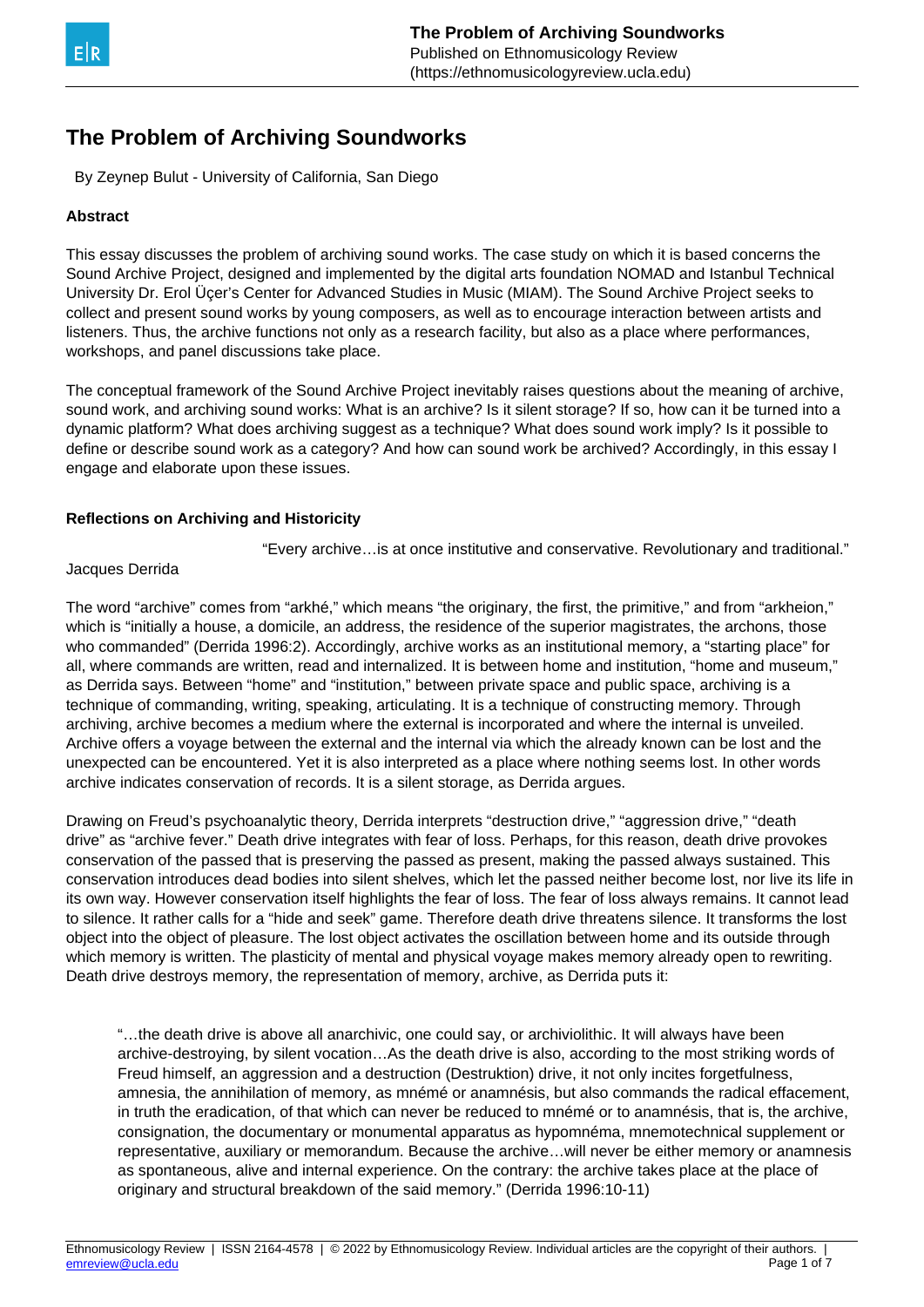

# **The Problem of Archiving Soundworks**

By Zeynep Bulut - University of California, San Diego

### **Abstract**

This essay discusses the problem of archiving sound works. The case study on which it is based concerns the Sound Archive Project, designed and implemented by the digital arts foundation NOMAD and Istanbul Technical University Dr. Erol Üçer's Center for Advanced Studies in Music (MIAM). The Sound Archive Project seeks to collect and present sound works by young composers, as well as to encourage interaction between artists and listeners. Thus, the archive functions not only as a research facility, but also as a place where performances, workshops, and panel discussions take place.

The conceptual framework of the Sound Archive Project inevitably raises questions about the meaning of archive, sound work, and archiving sound works: What is an archive? Is it silent storage? If so, how can it be turned into a dynamic platform? What does archiving suggest as a technique? What does sound work imply? Is it possible to define or describe sound work as a category? And how can sound work be archived? Accordingly, in this essay I engage and elaborate upon these issues.

#### **Reflections on Archiving and Historicity**

"Every archive…is at once institutive and conservative. Revolutionary and traditional."

#### Jacques Derrida

The word "archive" comes from "arkhé," which means "the originary, the first, the primitive," and from "arkheion," which is "initially a house, a domicile, an address, the residence of the superior magistrates, the archons, those who commanded" (Derrida 1996:2). Accordingly, archive works as an institutional memory, a "starting place" for all, where commands are written, read and internalized. It is between home and institution, "home and museum," as Derrida says. Between "home" and "institution," between private space and public space, archiving is a technique of commanding, writing, speaking, articulating. It is a technique of constructing memory. Through archiving, archive becomes a medium where the external is incorporated and where the internal is unveiled. Archive offers a voyage between the external and the internal via which the already known can be lost and the unexpected can be encountered. Yet it is also interpreted as a place where nothing seems lost. In other words archive indicates conservation of records. It is a silent storage, as Derrida argues.

Drawing on Freud's psychoanalytic theory, Derrida interprets "destruction drive," "aggression drive," "death drive" as "archive fever." Death drive integrates with fear of loss. Perhaps, for this reason, death drive provokes conservation of the passed that is preserving the passed as present, making the passed always sustained. This conservation introduces dead bodies into silent shelves, which let the passed neither become lost, nor live its life in its own way. However conservation itself highlights the fear of loss. The fear of loss always remains. It cannot lead to silence. It rather calls for a "hide and seek" game. Therefore death drive threatens silence. It transforms the lost object into the object of pleasure. The lost object activates the oscillation between home and its outside through which memory is written. The plasticity of mental and physical voyage makes memory already open to rewriting. Death drive destroys memory, the representation of memory, archive, as Derrida puts it:

"…the death drive is above all anarchivic, one could say, or archiviolithic. It will always have been archive-destroying, by silent vocation…As the death drive is also, according to the most striking words of Freud himself, an aggression and a destruction (Destruktion) drive, it not only incites forgetfulness, amnesia, the annihilation of memory, as mnémé or anamnésis, but also commands the radical effacement, in truth the eradication, of that which can never be reduced to mnémé or to anamnésis, that is, the archive, consignation, the documentary or monumental apparatus as hypomnéma, mnemotechnical supplement or representative, auxiliary or memorandum. Because the archive…will never be either memory or anamnesis as spontaneous, alive and internal experience. On the contrary: the archive takes place at the place of originary and structural breakdown of the said memory." (Derrida 1996:10-11)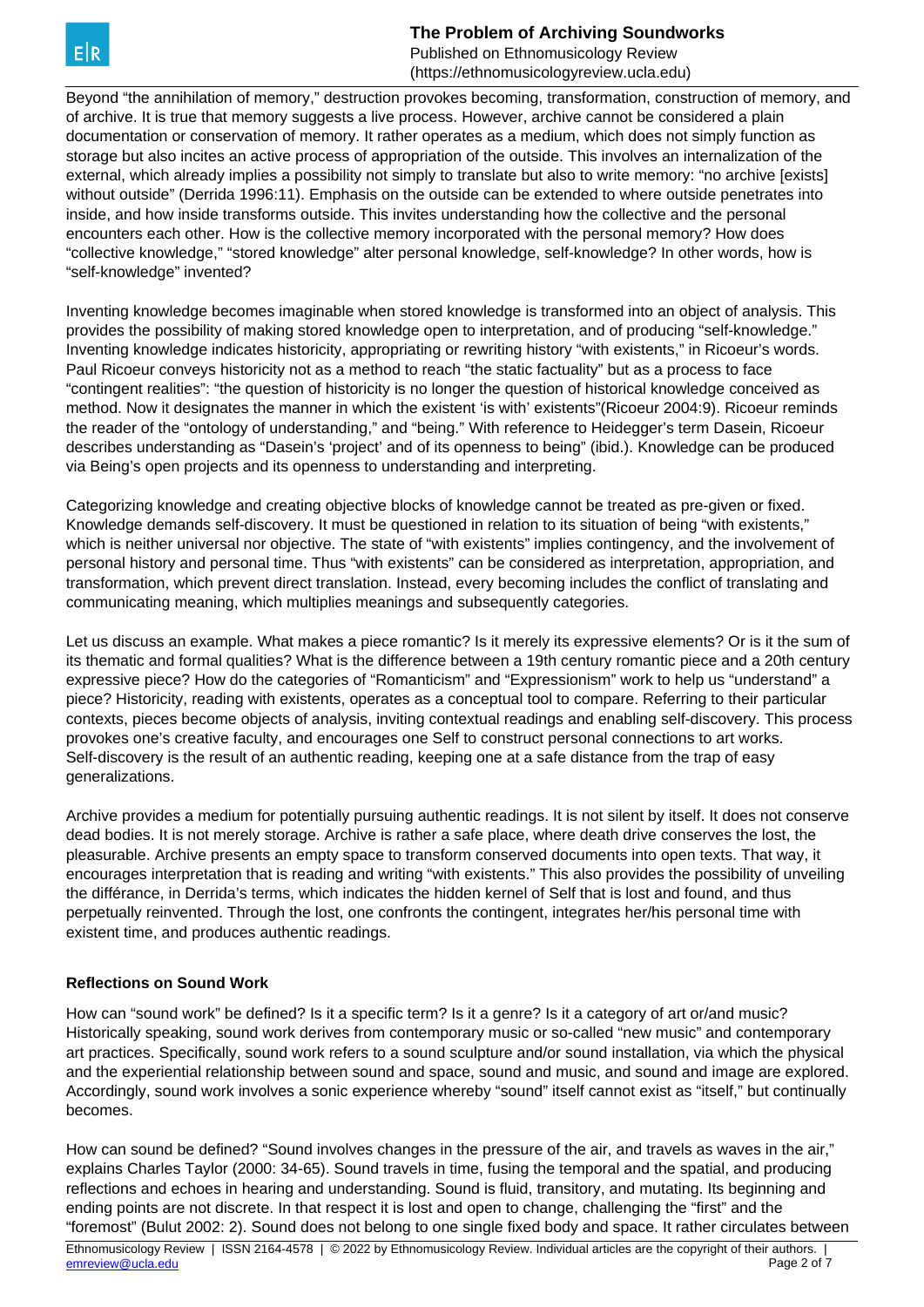**The Problem of Archiving Soundworks**

Published on Ethnomusicology Review (https://ethnomusicologyreview.ucla.edu)

Beyond "the annihilation of memory," destruction provokes becoming, transformation, construction of memory, and of archive. It is true that memory suggests a live process. However, archive cannot be considered a plain documentation or conservation of memory. It rather operates as a medium, which does not simply function as storage but also incites an active process of appropriation of the outside. This involves an internalization of the external, which already implies a possibility not simply to translate but also to write memory: "no archive [exists] without outside" (Derrida 1996:11). Emphasis on the outside can be extended to where outside penetrates into inside, and how inside transforms outside. This invites understanding how the collective and the personal encounters each other. How is the collective memory incorporated with the personal memory? How does "collective knowledge," "stored knowledge" alter personal knowledge, self-knowledge? In other words, how is "self-knowledge" invented?

Inventing knowledge becomes imaginable when stored knowledge is transformed into an object of analysis. This provides the possibility of making stored knowledge open to interpretation, and of producing "self-knowledge." Inventing knowledge indicates historicity, appropriating or rewriting history "with existents," in Ricoeur's words. Paul Ricoeur conveys historicity not as a method to reach "the static factuality" but as a process to face "contingent realities": "the question of historicity is no longer the question of historical knowledge conceived as method. Now it designates the manner in which the existent 'is with' existents"(Ricoeur 2004:9). Ricoeur reminds the reader of the "ontology of understanding," and "being." With reference to Heidegger's term Dasein, Ricoeur describes understanding as "Dasein's 'project' and of its openness to being" (ibid.). Knowledge can be produced via Being's open projects and its openness to understanding and interpreting.

Categorizing knowledge and creating objective blocks of knowledge cannot be treated as pre-given or fixed. Knowledge demands self-discovery. It must be questioned in relation to its situation of being "with existents," which is neither universal nor objective. The state of "with existents" implies contingency, and the involvement of personal history and personal time. Thus "with existents" can be considered as interpretation, appropriation, and transformation, which prevent direct translation. Instead, every becoming includes the conflict of translating and communicating meaning, which multiplies meanings and subsequently categories.

Let us discuss an example. What makes a piece romantic? Is it merely its expressive elements? Or is it the sum of its thematic and formal qualities? What is the difference between a 19th century romantic piece and a 20th century expressive piece? How do the categories of "Romanticism" and "Expressionism" work to help us "understand" a piece? Historicity, reading with existents, operates as a conceptual tool to compare. Referring to their particular contexts, pieces become objects of analysis, inviting contextual readings and enabling self-discovery. This process provokes one's creative faculty, and encourages one Self to construct personal connections to art works. Self-discovery is the result of an authentic reading, keeping one at a safe distance from the trap of easy generalizations.

Archive provides a medium for potentially pursuing authentic readings. It is not silent by itself. It does not conserve dead bodies. It is not merely storage. Archive is rather a safe place, where death drive conserves the lost, the pleasurable. Archive presents an empty space to transform conserved documents into open texts. That way, it encourages interpretation that is reading and writing "with existents." This also provides the possibility of unveiling the différance, in Derrida's terms, which indicates the hidden kernel of Self that is lost and found, and thus perpetually reinvented. Through the lost, one confronts the contingent, integrates her/his personal time with existent time, and produces authentic readings.

## **Reflections on Sound Work**

How can "sound work" be defined? Is it a specific term? Is it a genre? Is it a category of art or/and music? Historically speaking, sound work derives from contemporary music or so-called "new music" and contemporary art practices. Specifically, sound work refers to a sound sculpture and/or sound installation, via which the physical and the experiential relationship between sound and space, sound and music, and sound and image are explored. Accordingly, sound work involves a sonic experience whereby "sound" itself cannot exist as "itself," but continually becomes.

How can sound be defined? "Sound involves changes in the pressure of the air, and travels as waves in the air," explains Charles Taylor (2000: 34-65). Sound travels in time, fusing the temporal and the spatial, and producing reflections and echoes in hearing and understanding. Sound is fluid, transitory, and mutating. Its beginning and ending points are not discrete. In that respect it is lost and open to change, challenging the "first" and the "foremost" (Bulut 2002: 2). Sound does not belong to one single fixed body and space. It rather circulates between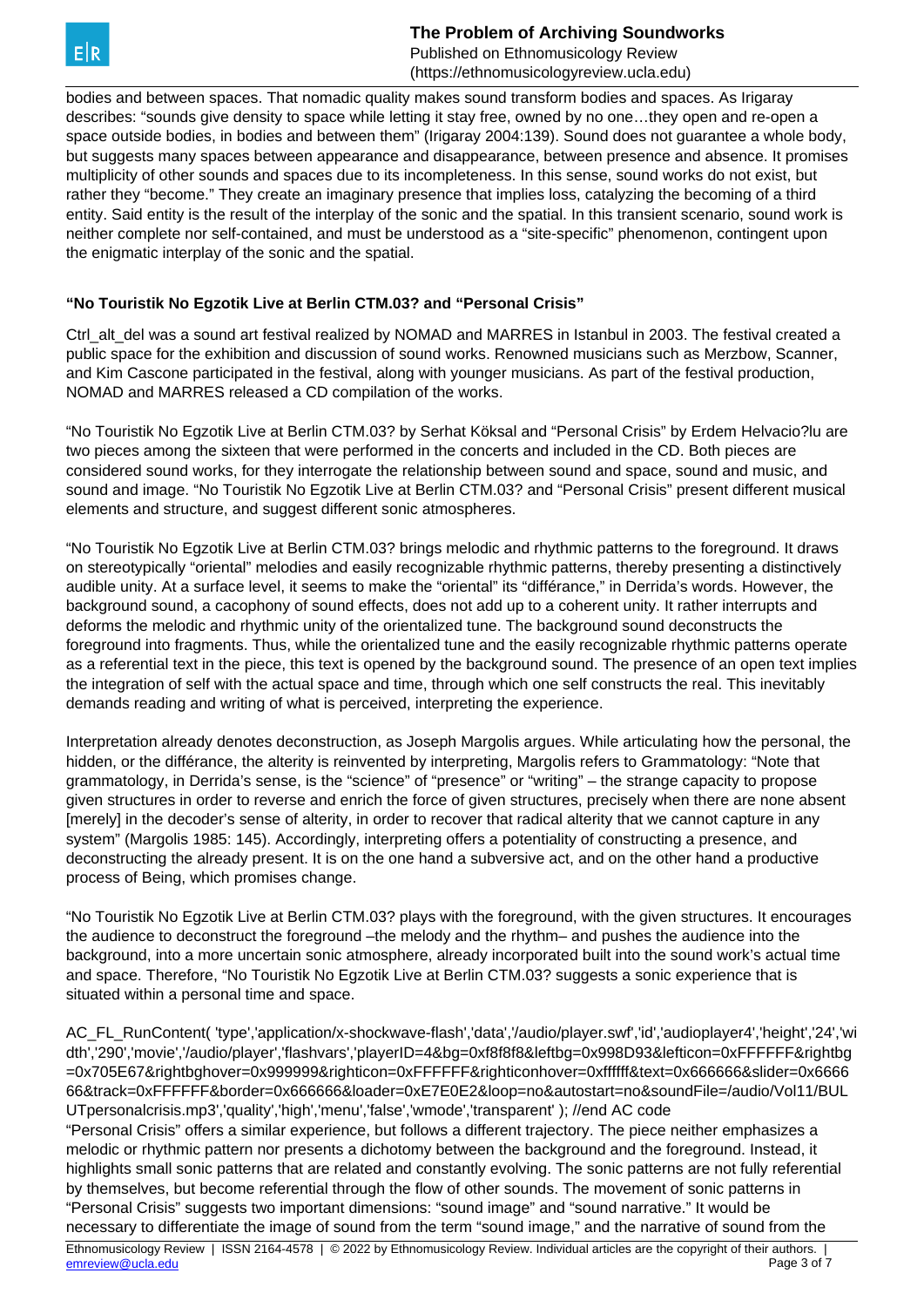**The Problem of Archiving Soundworks** Published on Ethnomusicology Review (https://ethnomusicologyreview.ucla.edu)

bodies and between spaces. That nomadic quality makes sound transform bodies and spaces. As Irigaray describes: "sounds give density to space while letting it stay free, owned by no one…they open and re-open a space outside bodies, in bodies and between them" (Irigaray 2004:139). Sound does not guarantee a whole body, but suggests many spaces between appearance and disappearance, between presence and absence. It promises multiplicity of other sounds and spaces due to its incompleteness. In this sense, sound works do not exist, but rather they "become." They create an imaginary presence that implies loss, catalyzing the becoming of a third entity. Said entity is the result of the interplay of the sonic and the spatial. In this transient scenario, sound work is neither complete nor self-contained, and must be understood as a "site-specific" phenomenon, contingent upon the enigmatic interplay of the sonic and the spatial.

# **"No Touristik No Egzotik Live at Berlin CTM.03? and "Personal Crisis"**

Ctrl\_alt\_del was a sound art festival realized by NOMAD and MARRES in Istanbul in 2003. The festival created a public space for the exhibition and discussion of sound works. Renowned musicians such as Merzbow, Scanner, and Kim Cascone participated in the festival, along with younger musicians. As part of the festival production, NOMAD and MARRES released a CD compilation of the works.

"No Touristik No Egzotik Live at Berlin CTM.03? by Serhat Köksal and "Personal Crisis" by Erdem Helvacio?lu are two pieces among the sixteen that were performed in the concerts and included in the CD. Both pieces are considered sound works, for they interrogate the relationship between sound and space, sound and music, and sound and image. "No Touristik No Egzotik Live at Berlin CTM.03? and "Personal Crisis" present different musical elements and structure, and suggest different sonic atmospheres.

"No Touristik No Egzotik Live at Berlin CTM.03? brings melodic and rhythmic patterns to the foreground. It draws on stereotypically "oriental" melodies and easily recognizable rhythmic patterns, thereby presenting a distinctively audible unity. At a surface level, it seems to make the "oriental" its "différance," in Derrida's words. However, the background sound, a cacophony of sound effects, does not add up to a coherent unity. It rather interrupts and deforms the melodic and rhythmic unity of the orientalized tune. The background sound deconstructs the foreground into fragments. Thus, while the orientalized tune and the easily recognizable rhythmic patterns operate as a referential text in the piece, this text is opened by the background sound. The presence of an open text implies the integration of self with the actual space and time, through which one self constructs the real. This inevitably demands reading and writing of what is perceived, interpreting the experience.

Interpretation already denotes deconstruction, as Joseph Margolis argues. While articulating how the personal, the hidden, or the différance, the alterity is reinvented by interpreting, Margolis refers to Grammatology: "Note that grammatology, in Derrida's sense, is the "science" of "presence" or "writing" – the strange capacity to propose given structures in order to reverse and enrich the force of given structures, precisely when there are none absent [merely] in the decoder's sense of alterity, in order to recover that radical alterity that we cannot capture in any system" (Margolis 1985: 145). Accordingly, interpreting offers a potentiality of constructing a presence, and deconstructing the already present. It is on the one hand a subversive act, and on the other hand a productive process of Being, which promises change.

"No Touristik No Egzotik Live at Berlin CTM.03? plays with the foreground, with the given structures. It encourages the audience to deconstruct the foreground –the melody and the rhythm– and pushes the audience into the background, into a more uncertain sonic atmosphere, already incorporated built into the sound work's actual time and space. Therefore, "No Touristik No Egzotik Live at Berlin CTM.03? suggests a sonic experience that is situated within a personal time and space.

AC\_FL\_RunContent( 'type','application/x-shockwave-flash','data','/audio/player.swf','id','audioplayer4','height','24','wi dth','290','movie','/audio/player','flashvars','playerID=4&bg=0xf8f8f8&leftbg=0x998D93&lefticon=0xFFFFFF&rightbg =0x705E67&rightbghover=0x999999&righticon=0xFFFFFF&righticonhover=0xffffff&text=0x666666&slider=0x6666 66&track=0xFFFFFF&border=0x666666&loader=0xE7E0E2&loop=no&autostart=no&soundFile=/audio/Vol11/BUL UTpersonalcrisis.mp3','quality','high','menu','false','wmode','transparent' ); //end AC code

"Personal Crisis" offers a similar experience, but follows a different trajectory. The piece neither emphasizes a melodic or rhythmic pattern nor presents a dichotomy between the background and the foreground. Instead, it highlights small sonic patterns that are related and constantly evolving. The sonic patterns are not fully referential by themselves, but become referential through the flow of other sounds. The movement of sonic patterns in "Personal Crisis" suggests two important dimensions: "sound image" and "sound narrative." It would be necessary to differentiate the image of sound from the term "sound image," and the narrative of sound from the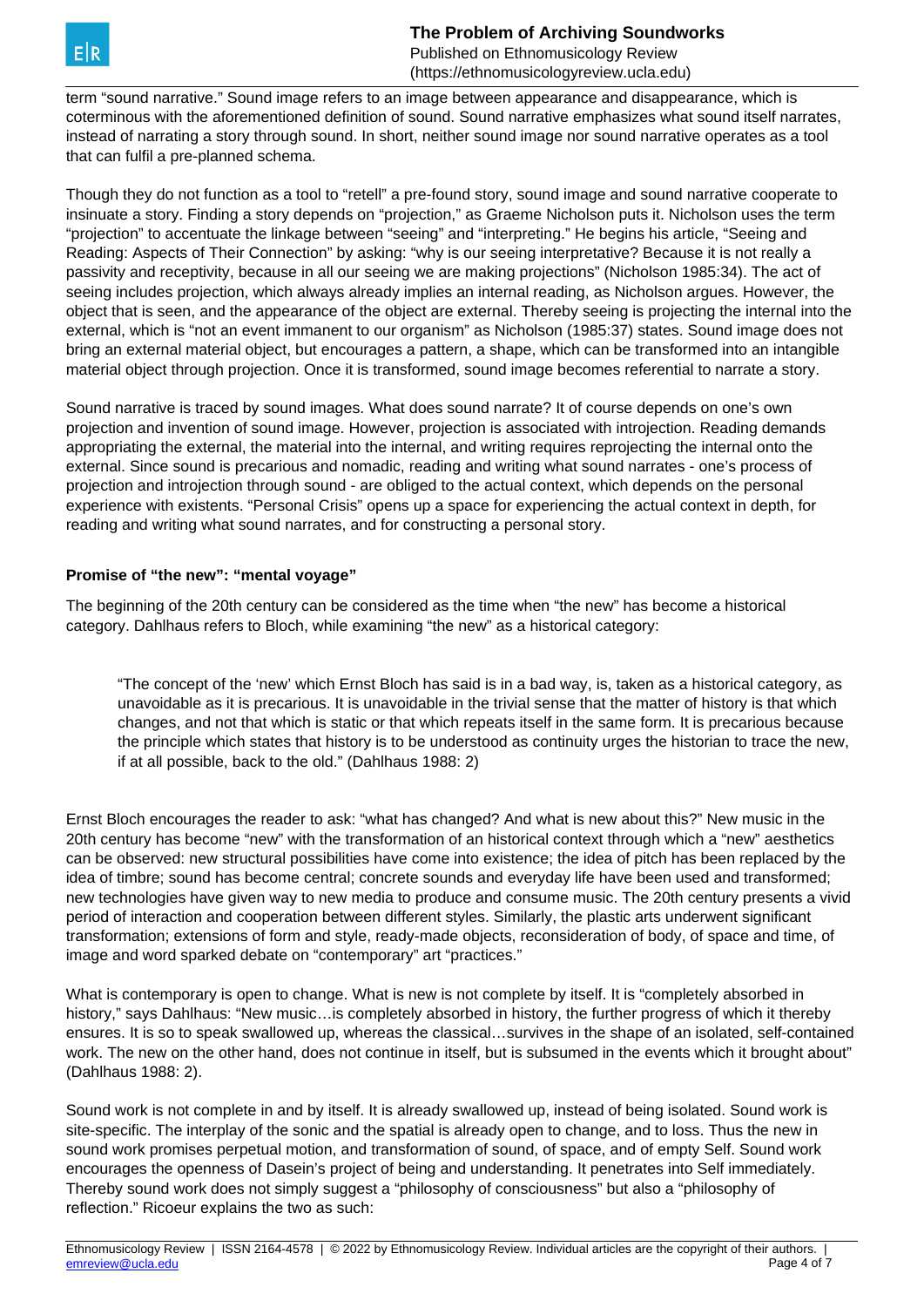

term "sound narrative." Sound image refers to an image between appearance and disappearance, which is coterminous with the aforementioned definition of sound. Sound narrative emphasizes what sound itself narrates, instead of narrating a story through sound. In short, neither sound image nor sound narrative operates as a tool that can fulfil a pre-planned schema.

Though they do not function as a tool to "retell" a pre-found story, sound image and sound narrative cooperate to insinuate a story. Finding a story depends on "projection," as Graeme Nicholson puts it. Nicholson uses the term "projection" to accentuate the linkage between "seeing" and "interpreting." He begins his article, "Seeing and Reading: Aspects of Their Connection" by asking: "why is our seeing interpretative? Because it is not really a passivity and receptivity, because in all our seeing we are making projections" (Nicholson 1985:34). The act of seeing includes projection, which always already implies an internal reading, as Nicholson argues. However, the object that is seen, and the appearance of the object are external. Thereby seeing is projecting the internal into the external, which is "not an event immanent to our organism" as Nicholson (1985:37) states. Sound image does not bring an external material object, but encourages a pattern, a shape, which can be transformed into an intangible material object through projection. Once it is transformed, sound image becomes referential to narrate a story.

Sound narrative is traced by sound images. What does sound narrate? It of course depends on one's own projection and invention of sound image. However, projection is associated with introjection. Reading demands appropriating the external, the material into the internal, and writing requires reprojecting the internal onto the external. Since sound is precarious and nomadic, reading and writing what sound narrates - one's process of projection and introjection through sound - are obliged to the actual context, which depends on the personal experience with existents. "Personal Crisis" opens up a space for experiencing the actual context in depth, for reading and writing what sound narrates, and for constructing a personal story.

#### **Promise of "the new": "mental voyage"**

The beginning of the 20th century can be considered as the time when "the new" has become a historical category. Dahlhaus refers to Bloch, while examining "the new" as a historical category:

"The concept of the 'new' which Ernst Bloch has said is in a bad way, is, taken as a historical category, as unavoidable as it is precarious. It is unavoidable in the trivial sense that the matter of history is that which changes, and not that which is static or that which repeats itself in the same form. It is precarious because the principle which states that history is to be understood as continuity urges the historian to trace the new, if at all possible, back to the old." (Dahlhaus 1988: 2)

Ernst Bloch encourages the reader to ask: "what has changed? And what is new about this?" New music in the 20th century has become "new" with the transformation of an historical context through which a "new" aesthetics can be observed: new structural possibilities have come into existence; the idea of pitch has been replaced by the idea of timbre; sound has become central; concrete sounds and everyday life have been used and transformed; new technologies have given way to new media to produce and consume music. The 20th century presents a vivid period of interaction and cooperation between different styles. Similarly, the plastic arts underwent significant transformation; extensions of form and style, ready-made objects, reconsideration of body, of space and time, of image and word sparked debate on "contemporary" art "practices."

What is contemporary is open to change. What is new is not complete by itself. It is "completely absorbed in history," says Dahlhaus: "New music... is completely absorbed in history, the further progress of which it thereby ensures. It is so to speak swallowed up, whereas the classical…survives in the shape of an isolated, self-contained work. The new on the other hand, does not continue in itself, but is subsumed in the events which it brought about" (Dahlhaus 1988: 2).

Sound work is not complete in and by itself. It is already swallowed up, instead of being isolated. Sound work is site-specific. The interplay of the sonic and the spatial is already open to change, and to loss. Thus the new in sound work promises perpetual motion, and transformation of sound, of space, and of empty Self. Sound work encourages the openness of Dasein's project of being and understanding. It penetrates into Self immediately. Thereby sound work does not simply suggest a "philosophy of consciousness" but also a "philosophy of reflection." Ricoeur explains the two as such: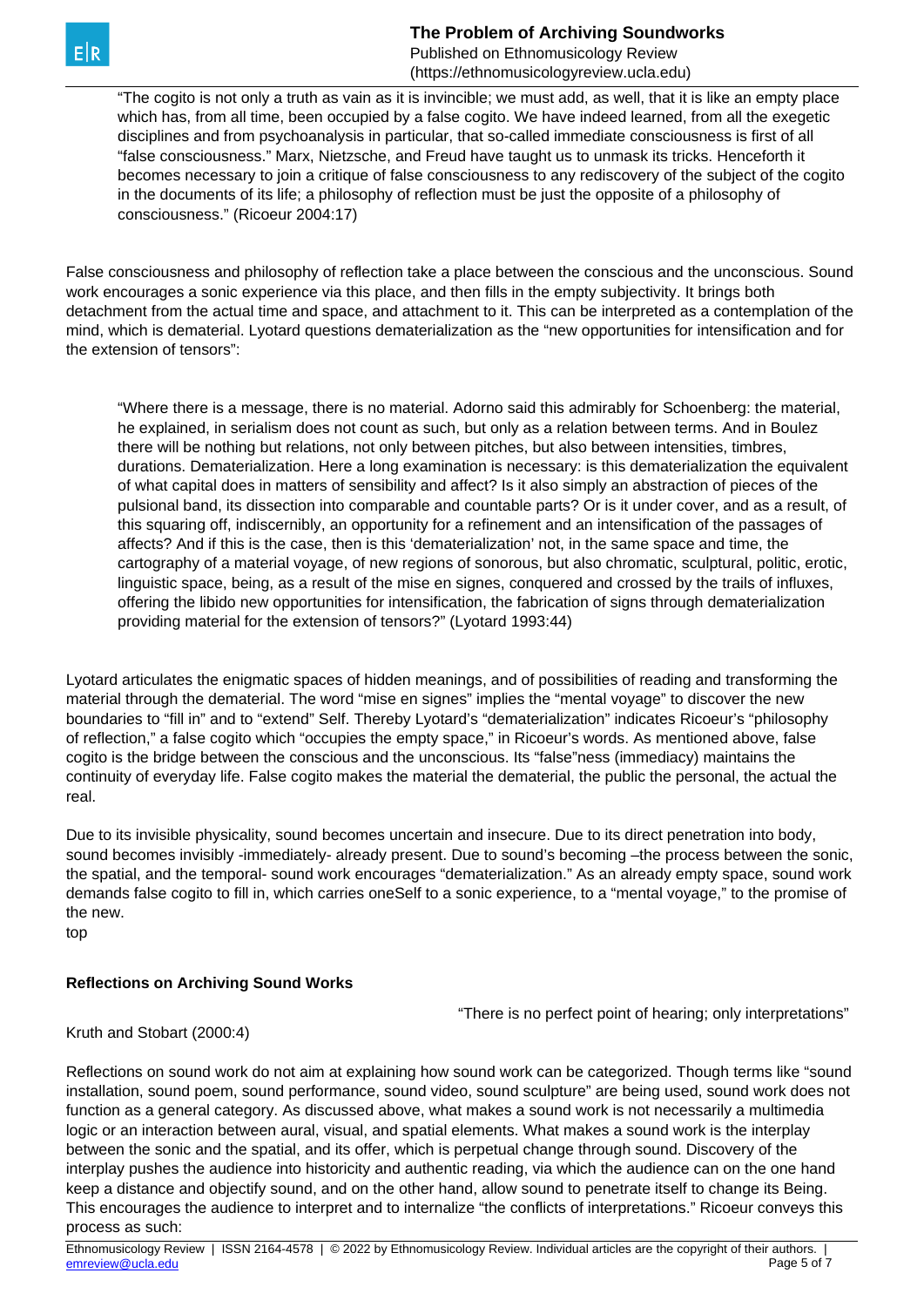**The Problem of Archiving Soundworks**

Published on Ethnomusicology Review (https://ethnomusicologyreview.ucla.edu)

"The cogito is not only a truth as vain as it is invincible; we must add, as well, that it is like an empty place which has, from all time, been occupied by a false cogito. We have indeed learned, from all the exegetic disciplines and from psychoanalysis in particular, that so-called immediate consciousness is first of all "false consciousness." Marx, Nietzsche, and Freud have taught us to unmask its tricks. Henceforth it becomes necessary to join a critique of false consciousness to any rediscovery of the subject of the cogito in the documents of its life; a philosophy of reflection must be just the opposite of a philosophy of consciousness." (Ricoeur 2004:17)

False consciousness and philosophy of reflection take a place between the conscious and the unconscious. Sound work encourages a sonic experience via this place, and then fills in the empty subjectivity. It brings both detachment from the actual time and space, and attachment to it. This can be interpreted as a contemplation of the mind, which is dematerial. Lyotard questions dematerialization as the "new opportunities for intensification and for the extension of tensors":

"Where there is a message, there is no material. Adorno said this admirably for Schoenberg: the material, he explained, in serialism does not count as such, but only as a relation between terms. And in Boulez there will be nothing but relations, not only between pitches, but also between intensities, timbres, durations. Dematerialization. Here a long examination is necessary: is this dematerialization the equivalent of what capital does in matters of sensibility and affect? Is it also simply an abstraction of pieces of the pulsional band, its dissection into comparable and countable parts? Or is it under cover, and as a result, of this squaring off, indiscernibly, an opportunity for a refinement and an intensification of the passages of affects? And if this is the case, then is this 'dematerialization' not, in the same space and time, the cartography of a material voyage, of new regions of sonorous, but also chromatic, sculptural, politic, erotic, linguistic space, being, as a result of the mise en signes, conquered and crossed by the trails of influxes, offering the libido new opportunities for intensification, the fabrication of signs through dematerialization providing material for the extension of tensors?" (Lyotard 1993:44)

Lyotard articulates the enigmatic spaces of hidden meanings, and of possibilities of reading and transforming the material through the dematerial. The word "mise en signes" implies the "mental voyage" to discover the new boundaries to "fill in" and to "extend" Self. Thereby Lyotard's "dematerialization" indicates Ricoeur's "philosophy of reflection," a false cogito which "occupies the empty space," in Ricoeur's words. As mentioned above, false cogito is the bridge between the conscious and the unconscious. Its "false"ness (immediacy) maintains the continuity of everyday life. False cogito makes the material the dematerial, the public the personal, the actual the real.

Due to its invisible physicality, sound becomes uncertain and insecure. Due to its direct penetration into body, sound becomes invisibly -immediately- already present. Due to sound's becoming –the process between the sonic, the spatial, and the temporal- sound work encourages "dematerialization." As an already empty space, sound work demands false cogito to fill in, which carries oneSelf to a sonic experience, to a "mental voyage," to the promise of the new.

top

## **Reflections on Archiving Sound Works**

"There is no perfect point of hearing; only interpretations"

Kruth and Stobart (2000:4)

Reflections on sound work do not aim at explaining how sound work can be categorized. Though terms like "sound installation, sound poem, sound performance, sound video, sound sculpture" are being used, sound work does not function as a general category. As discussed above, what makes a sound work is not necessarily a multimedia logic or an interaction between aural, visual, and spatial elements. What makes a sound work is the interplay between the sonic and the spatial, and its offer, which is perpetual change through sound. Discovery of the interplay pushes the audience into historicity and authentic reading, via which the audience can on the one hand keep a distance and objectify sound, and on the other hand, allow sound to penetrate itself to change its Being. This encourages the audience to interpret and to internalize "the conflicts of interpretations." Ricoeur conveys this process as such: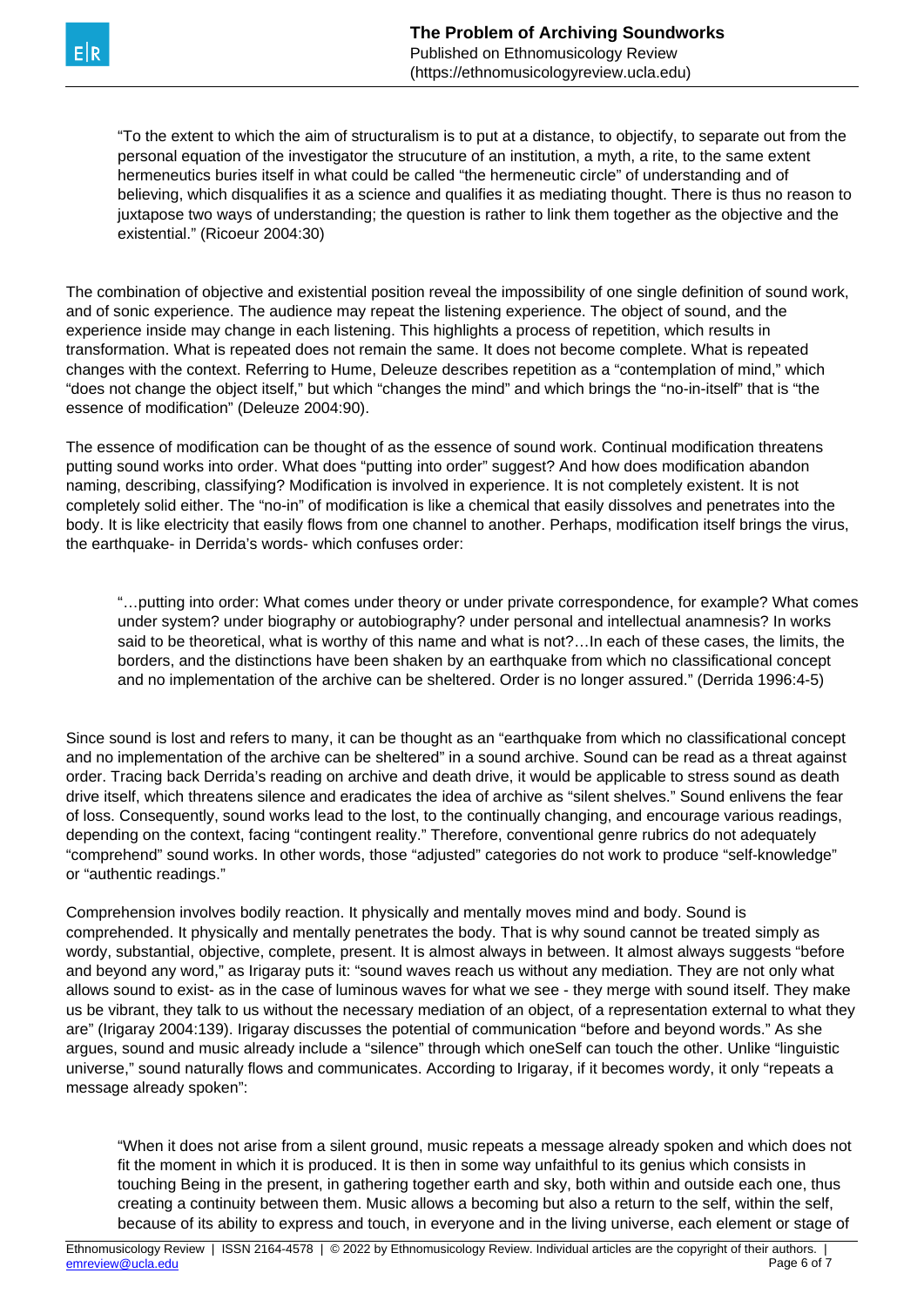"To the extent to which the aim of structuralism is to put at a distance, to objectify, to separate out from the personal equation of the investigator the strucuture of an institution, a myth, a rite, to the same extent hermeneutics buries itself in what could be called "the hermeneutic circle" of understanding and of believing, which disqualifies it as a science and qualifies it as mediating thought. There is thus no reason to juxtapose two ways of understanding; the question is rather to link them together as the objective and the existential." (Ricoeur 2004:30)

The combination of objective and existential position reveal the impossibility of one single definition of sound work, and of sonic experience. The audience may repeat the listening experience. The object of sound, and the experience inside may change in each listening. This highlights a process of repetition, which results in transformation. What is repeated does not remain the same. It does not become complete. What is repeated changes with the context. Referring to Hume, Deleuze describes repetition as a "contemplation of mind," which "does not change the object itself," but which "changes the mind" and which brings the "no-in-itself" that is "the essence of modification" (Deleuze 2004:90).

The essence of modification can be thought of as the essence of sound work. Continual modification threatens putting sound works into order. What does "putting into order" suggest? And how does modification abandon naming, describing, classifying? Modification is involved in experience. It is not completely existent. It is not completely solid either. The "no-in" of modification is like a chemical that easily dissolves and penetrates into the body. It is like electricity that easily flows from one channel to another. Perhaps, modification itself brings the virus, the earthquake- in Derrida's words- which confuses order:

"…putting into order: What comes under theory or under private correspondence, for example? What comes under system? under biography or autobiography? under personal and intellectual anamnesis? In works said to be theoretical, what is worthy of this name and what is not?…In each of these cases, the limits, the borders, and the distinctions have been shaken by an earthquake from which no classificational concept and no implementation of the archive can be sheltered. Order is no longer assured." (Derrida 1996:4-5)

Since sound is lost and refers to many, it can be thought as an "earthquake from which no classificational concept and no implementation of the archive can be sheltered" in a sound archive. Sound can be read as a threat against order. Tracing back Derrida's reading on archive and death drive, it would be applicable to stress sound as death drive itself, which threatens silence and eradicates the idea of archive as "silent shelves." Sound enlivens the fear of loss. Consequently, sound works lead to the lost, to the continually changing, and encourage various readings, depending on the context, facing "contingent reality." Therefore, conventional genre rubrics do not adequately "comprehend" sound works. In other words, those "adjusted" categories do not work to produce "self-knowledge" or "authentic readings."

Comprehension involves bodily reaction. It physically and mentally moves mind and body. Sound is comprehended. It physically and mentally penetrates the body. That is why sound cannot be treated simply as wordy, substantial, objective, complete, present. It is almost always in between. It almost always suggests "before and beyond any word," as Irigaray puts it: "sound waves reach us without any mediation. They are not only what allows sound to exist- as in the case of luminous waves for what we see - they merge with sound itself. They make us be vibrant, they talk to us without the necessary mediation of an object, of a representation external to what they are" (Irigaray 2004:139). Irigaray discusses the potential of communication "before and beyond words." As she argues, sound and music already include a "silence" through which oneSelf can touch the other. Unlike "linguistic universe," sound naturally flows and communicates. According to Irigaray, if it becomes wordy, it only "repeats a message already spoken":

"When it does not arise from a silent ground, music repeats a message already spoken and which does not fit the moment in which it is produced. It is then in some way unfaithful to its genius which consists in touching Being in the present, in gathering together earth and sky, both within and outside each one, thus creating a continuity between them. Music allows a becoming but also a return to the self, within the self, because of its ability to express and touch, in everyone and in the living universe, each element or stage of